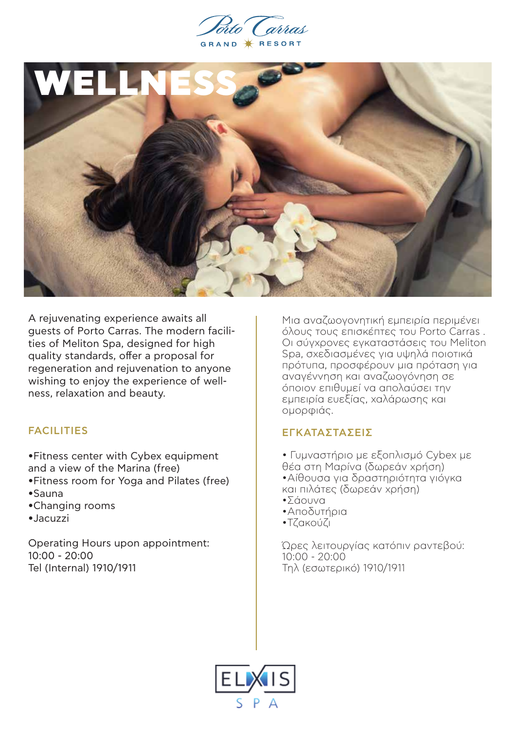



A rejuvenating experience awaits all guests of Porto Carras. The modern facilities of Meliton Spa, designed for high quality standards, offer a proposal for regeneration and rejuvenation to anyone wishing to enjoy the experience of wellness, relaxation and beauty.

# FACILITIES

- •Fitness center with Cybex equipment and a view of the Marina (free)
- •Fitness room for Yoga and Pilates (free)
- •Sauna
- •Changing rooms
- •Jacuzzi

Operating Hours upon appointment: 10:00 - 20:00 Tel (Internal) 1910/1911

Μια αναζωογονητική εμπειρία περιμένει όλους τους επισκέπτες του Porto Carras . Οι σύγχρονες εγκαταστάσεις του Meliton Spa, σχεδιασμένες για υψηλά ποιοτικά πρότυπα, προσφέρουν μια πρόταση για αναγέννηση και αναζωογόνηση σε όποιον επιθυμεί να απολαύσει την εμπειρία ευεξίας, χαλάρωσης και ομορφιάς.

# ΕΓΚΑΤΑΣΤΑΣΕΙΣ

• Γυμναστήριο με εξοπλισμό Cybex με θέα στη Μαρίνα (δωρεάν χρήση) •Αίθουσα για δραστηριότητα γιόγκα και πιλάτες (δωρεάν χρήση) •Σάουνα

- •Αποδυτήρια
- •Τζακούζι

Ώρες λειτουργίας κατόπιν ραντεβού: 10:00 - 20:00 Tηλ (εσωτερικό) 1910/1911

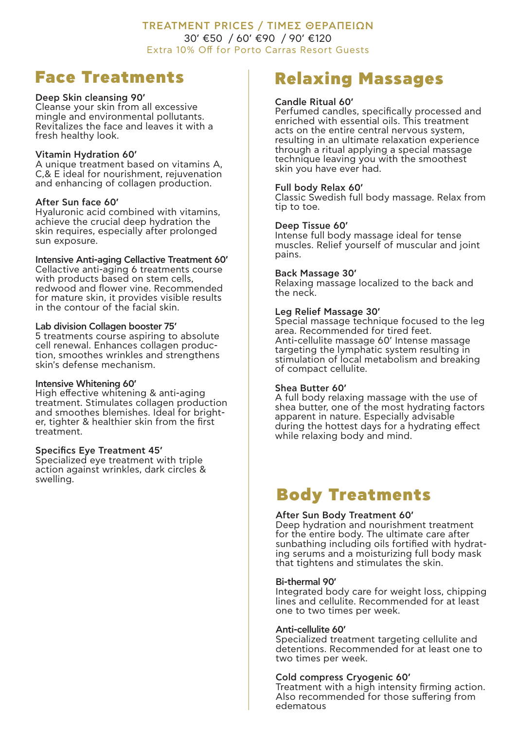# TREATMENT PRICES / ΤΙΜΕΣ ΘΕΡΑΠΕΙΩΝ 30' €50 / 60' €90 / 90' €120 Extra 10% Off for Porto Carras Resort Guests

# Face Treatments

# Deep Skin cleansing 90'

Cleanse your skin from all excessive mingle and environmental pollutants. Revitalizes the face and leaves it with a fresh healthy look.

## Vitamin Hydration 60'

A unique treatment based on vitamins A, C,& E ideal for nourishment, rejuvenation and enhancing of collagen production.

# After Sun face 60'

Hyaluronic acid combined with vitamins, achieve the crucial deep hydration the skin requires, especially after prolonged sun exposure.

# Intensive Anti-aging Cellactive Treatment 60'

Cellactive anti-aging 6 treatments course with products based on stem cells, redwood and flower vine. Recommended for mature skin, it provides visible results in the contour of the facial skin.

# Lab division Collagen booster 75'

5 treatments course aspiring to absolute cell renewal. Enhances collagen production, smoothes wrinkles and strengthens skin's defense mechanism.

#### Intensive Whitening 60'

High effective whitening & anti-aging treatment. Stimulates collagen production and smoothes blemishes. Ideal for brighter, tighter & healthier skin from the first treatment.

#### Specifics Eye Treatment 45'

Specialized eye treatment with triple action against wrinkles, dark circles & swelling.

# Relaxing Massages

## Candle Ritual 60'

Perfumed candles, specifically processed and enriched with essential oils. This treatment acts on the entire central nervous system, resulting in an ultimate relaxation experience through a ritual applying a special massage technique leaving you with the smoothest skin you have ever had.

# Full body Relax 60'

Classic Swedish full body massage. Relax from tip to toe.

# Deep Tissue 60'

Intense full body massage ideal for tense muscles. Relief yourself of muscular and joint pains.

#### Back Massage 30'

Relaxing massage localized to the back and the neck.

# Leg Relief Massage 30'

Special massage technique focused to the leg area. Recommended for tired feet. Anti-cellulite massage 60' Intense massage targeting the lymphatic system resulting in stimulation of local metabolism and breaking of compact cellulite.

#### Shea Butter 60'

A full body relaxing massage with the use of shea butter, one of the most hydrating factors apparent in nature. Especially advisable during the hottest days for a hydrating effect while relaxing body and mind.

# Body Treatments

#### After Sun Body Treatment 60'

Deep hydration and nourishment treatment for the entire body. The ultimate care after<br>sunbathing including oils fortified with hydrating serums and a moisturizing full body mask that tightens and stimulates the skin.

#### Bi-thermal 90'

Integrated body care for weight loss, chipping lines and cellulite. Recommended for at least one to two times per week.

#### Anti-cellulite 60'

Specialized treatment targeting cellulite and detentions. Recommended for at least one to two times per week.

# Cold compress Cryogenic 60'

Treatment with a high intensity firming action. Also recommended for those suffering from edematous